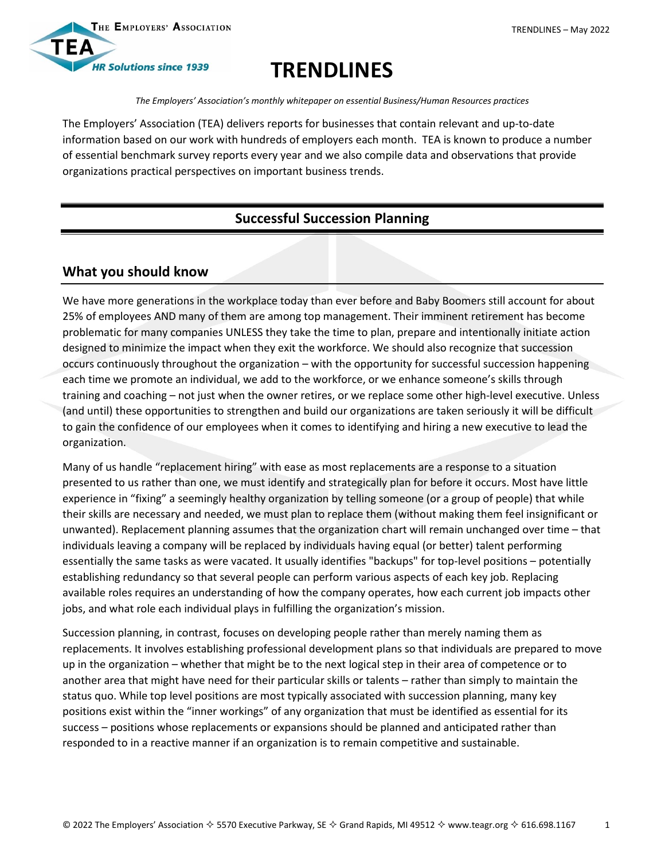



# **TRENDLINES**

*The Employers' Association's monthly whitepaper on essential Business/Human Resources practices*

The Employers' Association (TEA) delivers reports for businesses that contain relevant and up-to-date information based on our work with hundreds of employers each month. TEA is known to produce a number of essential benchmark survey reports every year and we also compile data and observations that provide organizations practical perspectives on important business trends.

## **Successful Succession Planning**

## **What you should know**

We have more generations in the workplace today than ever before and Baby Boomers still account for about 25% of employees AND many of them are among top management. Their imminent retirement has become problematic for many companies UNLESS they take the time to plan, prepare and intentionally initiate action designed to minimize the impact when they exit the workforce. We should also recognize that succession occurs continuously throughout the organization – with the opportunity for successful succession happening each time we promote an individual, we add to the workforce, or we enhance someone's skills through training and coaching – not just when the owner retires, or we replace some other high-level executive. Unless (and until) these opportunities to strengthen and build our organizations are taken seriously it will be difficult to gain the confidence of our employees when it comes to identifying and hiring a new executive to lead the organization.

Many of us handle "replacement hiring" with ease as most replacements are a response to a situation presented to us rather than one, we must identify and strategically plan for before it occurs. Most have little experience in "fixing" a seemingly healthy organization by telling someone (or a group of people) that while their skills are necessary and needed, we must plan to replace them (without making them feel insignificant or unwanted). Replacement planning assumes that the organization chart will remain unchanged over time – that individuals leaving a company will be replaced by individuals having equal (or better) talent performing essentially the same tasks as were vacated. It usually identifies "backups" for top-level positions – potentially establishing redundancy so that several people can perform various aspects of each key job. Replacing available roles requires an understanding of how the company operates, how each current job impacts other jobs, and what role each individual plays in fulfilling the organization's mission.

Succession planning, in contrast, focuses on developing people rather than merely naming them as replacements. It involves establishing professional development plans so that individuals are prepared to move up in the organization – whether that might be to the next logical step in their area of competence or to another area that might have need for their particular skills or talents – rather than simply to maintain the status quo. While top level positions are most typically associated with succession planning, many key positions exist within the "inner workings" of any organization that must be identified as essential for its success – positions whose replacements or expansions should be planned and anticipated rather than responded to in a reactive manner if an organization is to remain competitive and sustainable.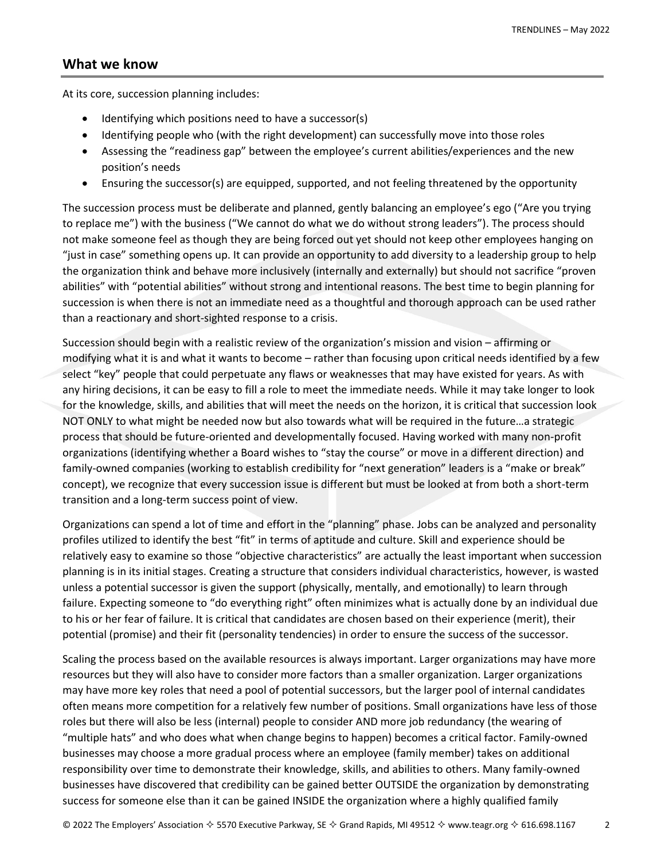#### **What we know**

At its core, succession planning includes:

- Identifying which positions need to have a successor(s)
- Identifying people who (with the right development) can successfully move into those roles
- Assessing the "readiness gap" between the employee's current abilities/experiences and the new position's needs
- Ensuring the successor(s) are equipped, supported, and not feeling threatened by the opportunity

The succession process must be deliberate and planned, gently balancing an employee's ego ("Are you trying to replace me") with the business ("We cannot do what we do without strong leaders"). The process should not make someone feel as though they are being forced out yet should not keep other employees hanging on "just in case" something opens up. It can provide an opportunity to add diversity to a leadership group to help the organization think and behave more inclusively (internally and externally) but should not sacrifice "proven abilities" with "potential abilities" without strong and intentional reasons. The best time to begin planning for succession is when there is not an immediate need as a thoughtful and thorough approach can be used rather than a reactionary and short-sighted response to a crisis.

Succession should begin with a realistic review of the organization's mission and vision – affirming or modifying what it is and what it wants to become – rather than focusing upon critical needs identified by a few select "key" people that could perpetuate any flaws or weaknesses that may have existed for years. As with any hiring decisions, it can be easy to fill a role to meet the immediate needs. While it may take longer to look for the knowledge, skills, and abilities that will meet the needs on the horizon, it is critical that succession look NOT ONLY to what might be needed now but also towards what will be required in the future…a strategic process that should be future-oriented and developmentally focused. Having worked with many non-profit organizations (identifying whether a Board wishes to "stay the course" or move in a different direction) and family-owned companies (working to establish credibility for "next generation" leaders is a "make or break" concept), we recognize that every succession issue is different but must be looked at from both a short-term transition and a long-term success point of view.

Organizations can spend a lot of time and effort in the "planning" phase. Jobs can be analyzed and personality profiles utilized to identify the best "fit" in terms of aptitude and culture. Skill and experience should be relatively easy to examine so those "objective characteristics" are actually the least important when succession planning is in its initial stages. Creating a structure that considers individual characteristics, however, is wasted unless a potential successor is given the support (physically, mentally, and emotionally) to learn through failure. Expecting someone to "do everything right" often minimizes what is actually done by an individual due to his or her fear of failure. It is critical that candidates are chosen based on their experience (merit), their potential (promise) and their fit (personality tendencies) in order to ensure the success of the successor.

Scaling the process based on the available resources is always important. Larger organizations may have more resources but they will also have to consider more factors than a smaller organization. Larger organizations may have more key roles that need a pool of potential successors, but the larger pool of internal candidates often means more competition for a relatively few number of positions. Small organizations have less of those roles but there will also be less (internal) people to consider AND more job redundancy (the wearing of "multiple hats" and who does what when change begins to happen) becomes a critical factor. Family-owned businesses may choose a more gradual process where an employee (family member) takes on additional responsibility over time to demonstrate their knowledge, skills, and abilities to others. Many family-owned businesses have discovered that credibility can be gained better OUTSIDE the organization by demonstrating success for someone else than it can be gained INSIDE the organization where a highly qualified family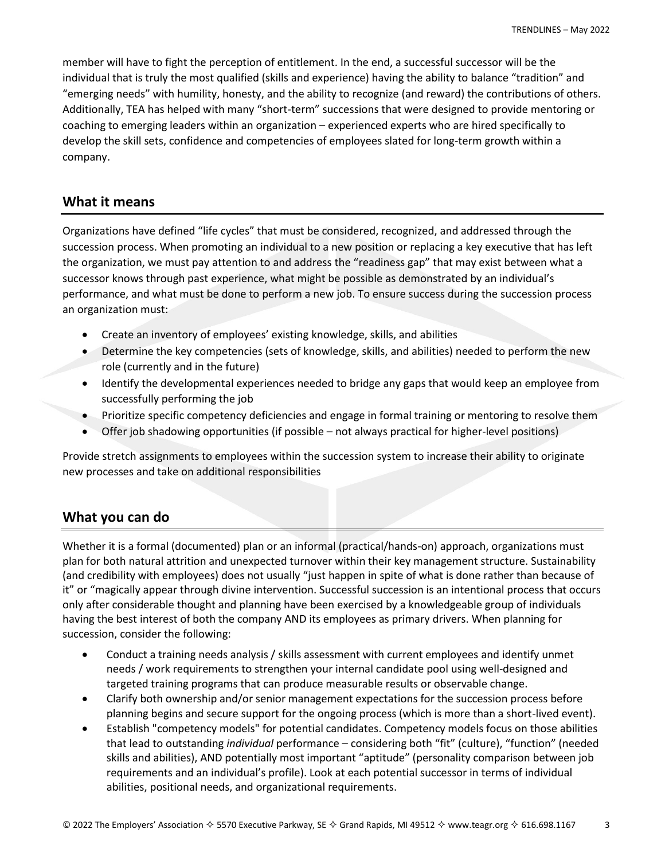member will have to fight the perception of entitlement. In the end, a successful successor will be the individual that is truly the most qualified (skills and experience) having the ability to balance "tradition" and "emerging needs" with humility, honesty, and the ability to recognize (and reward) the contributions of others. Additionally, TEA has helped with many "short-term" successions that were designed to provide mentoring or coaching to emerging leaders within an organization – experienced experts who are hired specifically to develop the skill sets, confidence and competencies of employees slated for long-term growth within a company.

### **What it means**

Organizations have defined "life cycles" that must be considered, recognized, and addressed through the succession process. When promoting an individual to a new position or replacing a key executive that has left the organization, we must pay attention to and address the "readiness gap" that may exist between what a successor knows through past experience, what might be possible as demonstrated by an individual's performance, and what must be done to perform a new job. To ensure success during the succession process an organization must:

- Create an inventory of employees' existing knowledge, skills, and abilities
- Determine the key competencies (sets of knowledge, skills, and abilities) needed to perform the new role (currently and in the future)
- Identify the developmental experiences needed to bridge any gaps that would keep an employee from successfully performing the job
- Prioritize specific competency deficiencies and engage in formal training or mentoring to resolve them
- Offer job shadowing opportunities (if possible not always practical for higher-level positions)

Provide stretch assignments to employees within the succession system to increase their ability to originate new processes and take on additional responsibilities

## **What you can do**

Whether it is a formal (documented) plan or an informal (practical/hands-on) approach, organizations must plan for both natural attrition and unexpected turnover within their key management structure. Sustainability (and credibility with employees) does not usually "just happen in spite of what is done rather than because of it" or "magically appear through divine intervention. Successful succession is an intentional process that occurs only after considerable thought and planning have been exercised by a knowledgeable group of individuals having the best interest of both the company AND its employees as primary drivers. When planning for succession, consider the following:

- Conduct a training needs analysis / skills assessment with current employees and identify unmet needs / work requirements to strengthen your internal candidate pool using well-designed and targeted training programs that can produce measurable results or observable change.
- Clarify both ownership and/or senior management expectations for the succession process before planning begins and secure support for the ongoing process (which is more than a short-lived event).
- Establish "competency models" for potential candidates. Competency models focus on those abilities that lead to outstanding *individual* performance – considering both "fit" (culture), "function" (needed skills and abilities), AND potentially most important "aptitude" (personality comparison between job requirements and an individual's profile). Look at each potential successor in terms of individual abilities, positional needs, and organizational requirements.